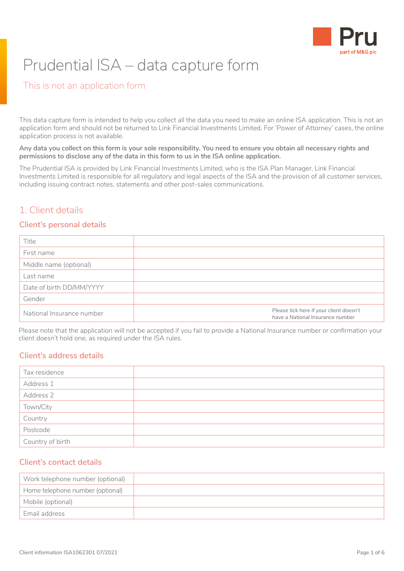

# Prudential ISA – data capture form

## This is not an application form

This data capture form is intended to help you collect all the data you need to make an online ISA application. This is not an application form and should not be returned to Link Financial Investments Limited. For 'Power of Attorney' cases, the online application process is not available.

**Any data you collect on this form is your sole responsibility. You need to ensure you obtain all necessary rights and permissions to disclose any of the data in this form to us in the ISA online application.**

The Prudential ISA is provided by Link Financial Investments Limited, who is the ISA Plan Manager. Link Financial Investments Limited is responsible for all regulatory and legal aspects of the ISA and the provision of all customer services, including issuing contract notes, statements and other post-sales communications.

## 1. Client details

#### **Client's personal details**

| Title                     |                                                                             |
|---------------------------|-----------------------------------------------------------------------------|
| First name                |                                                                             |
| Middle name (optional)    |                                                                             |
| Last name                 |                                                                             |
| Date of birth DD/MM/YYYY  |                                                                             |
| Gender                    |                                                                             |
| National Insurance number | Please tick here if your client doesn't<br>have a National Insurance number |

Please note that the application will not be accepted if you fail to provide a National Insurance number or confirmation your client doesn't hold one, as required under the ISA rules.

#### **Client's address details**

| Tax residence    |  |
|------------------|--|
| Address 1        |  |
| Address 2        |  |
| Town/City        |  |
| Country          |  |
| Postcode         |  |
| Country of birth |  |

#### **Client's contact details**

| Work telephone number (optional) |  |
|----------------------------------|--|
| Home telephone number (optional) |  |
| Mobile (optional)                |  |
| Email address                    |  |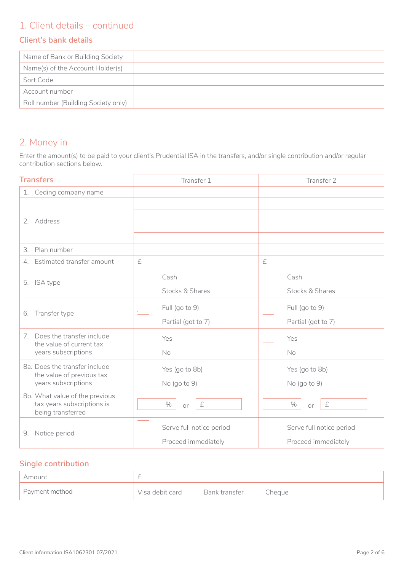## 1. Client details – continued

#### **Client's bank details**

| Name of Bank or Building Society    |  |
|-------------------------------------|--|
| Name(s) of the Account Holder(s)    |  |
| Sort Code                           |  |
| Account number                      |  |
| Roll number (Building Society only) |  |

# 2. Money in

Enter the amount(s) to be paid to your client's Prudential ISA in the transfers, and/or single contribution and/or regular contribution sections below.

| <b>Transfers</b>                                                                  | Transfer 1                                      | Transfer 2                                      |
|-----------------------------------------------------------------------------------|-------------------------------------------------|-------------------------------------------------|
| 1. Ceding company name                                                            |                                                 |                                                 |
| 2. Address                                                                        |                                                 |                                                 |
| 3. Plan number                                                                    |                                                 |                                                 |
| 4. Estimated transfer amount                                                      | $\pounds$                                       | £                                               |
| 5. ISA type                                                                       | Cash<br>Stocks & Shares                         | Cash<br>Stocks & Shares                         |
| Transfer type<br>6.                                                               | Full (go to 9)<br>Partial (got to 7)            | Full (go to 9)<br>Partial (got to 7)            |
| 7. Does the transfer include<br>the value of current tax<br>years subscriptions   | Yes<br>No                                       | Yes<br>No                                       |
| 8a. Does the transfer include<br>the value of previous tax<br>years subscriptions | Yes (go to 8b)<br>No (go to 9)                  | Yes (go to 8b)<br>No (go to 9)                  |
| 8b. What value of the previous<br>tax years subscriptions is<br>being transferred | $\%$<br>$\pounds$<br><b>or</b>                  | $\%$<br>$\pounds$<br>or                         |
| 9. Notice period                                                                  | Serve full notice period<br>Proceed immediately | Serve full notice period<br>Proceed immediately |

## **Single contribution**

| Amount         |                 |               |        |
|----------------|-----------------|---------------|--------|
| Payment method | Visa debit card | Bank transfer | Cheque |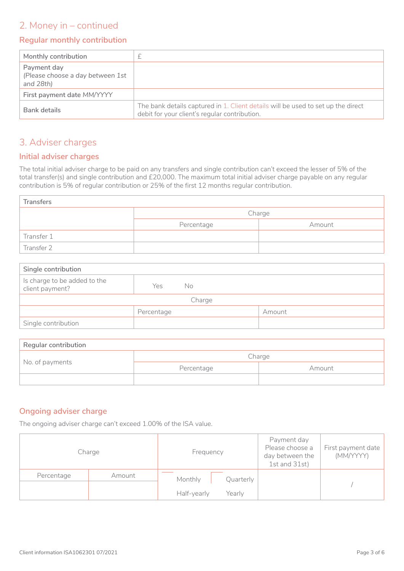## 2. Money in – continued

#### **Regular monthly contribution**

| Monthly contribution                                            |                                                                                                                                   |
|-----------------------------------------------------------------|-----------------------------------------------------------------------------------------------------------------------------------|
| Payment day<br>(Please choose a day between 1st<br>and $28th$ ) |                                                                                                                                   |
| First payment date MM/YYYY                                      |                                                                                                                                   |
| Bank details                                                    | The bank details captured in 1. Client details will be used to set up the direct<br>debit for your client's regular contribution. |

## 3. Adviser charges

#### **Initial adviser charges**

The total initial adviser charge to be paid on any transfers and single contribution can't exceed the lesser of 5% of the total transfer(s) and single contribution and £20,000. The maximum total initial adviser charge payable on any regular contribution is 5% of regular contribution or 25% of the first 12 months regular contribution.

| <b>Transfers</b> |            |        |  |  |  |
|------------------|------------|--------|--|--|--|
|                  | Charge     |        |  |  |  |
|                  | Percentage | Amount |  |  |  |
| Transfer 1       |            |        |  |  |  |
| Transfer 2       |            |        |  |  |  |

| Single contribution                             |            |     |        |
|-------------------------------------------------|------------|-----|--------|
| Is charge to be added to the<br>client payment? | Yes        | No. |        |
| Charge                                          |            |     |        |
|                                                 | Percentage |     | Amount |
| Single contribution                             |            |     |        |

| Regular contribution |            |        |  |
|----------------------|------------|--------|--|
| No. of payments      | Charge     |        |  |
|                      | Percentage | Amount |  |
|                      |            |        |  |

#### **Ongoing adviser charge**

The ongoing adviser charge can't exceed 1.00% of the ISA value.

| Charge               | Frequency             | Payment day<br>Please choose a<br>day between the<br>1st and 31st) | First payment date<br>(MM/YYYY) |
|----------------------|-----------------------|--------------------------------------------------------------------|---------------------------------|
| Percentage<br>Amount | Monthly<br>Quarterly  |                                                                    |                                 |
|                      |                       |                                                                    |                                 |
|                      | Half-yearly<br>Yearlv |                                                                    |                                 |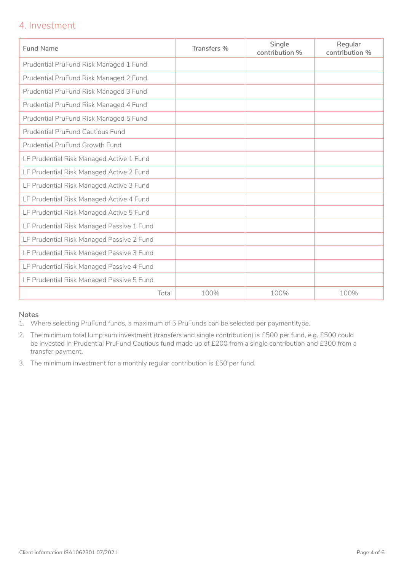## 4. Investment

| <b>Fund Name</b>                          | Transfers % | Single<br>contribution % | Regular<br>contribution % |
|-------------------------------------------|-------------|--------------------------|---------------------------|
| Prudential PruFund Risk Managed 1 Fund    |             |                          |                           |
| Prudential PruFund Risk Managed 2 Fund    |             |                          |                           |
| Prudential PruFund Risk Managed 3 Fund    |             |                          |                           |
| Prudential PruFund Risk Managed 4 Fund    |             |                          |                           |
| Prudential PruFund Risk Managed 5 Fund    |             |                          |                           |
| <b>Prudential PruFund Cautious Fund</b>   |             |                          |                           |
| <b>Prudential PruFund Growth Fund</b>     |             |                          |                           |
| LF Prudential Risk Managed Active 1 Fund  |             |                          |                           |
| LF Prudential Risk Managed Active 2 Fund  |             |                          |                           |
| LF Prudential Risk Managed Active 3 Fund  |             |                          |                           |
| LF Prudential Risk Managed Active 4 Fund  |             |                          |                           |
| LF Prudential Risk Managed Active 5 Fund  |             |                          |                           |
| LF Prudential Risk Managed Passive 1 Fund |             |                          |                           |
| LF Prudential Risk Managed Passive 2 Fund |             |                          |                           |
| LF Prudential Risk Managed Passive 3 Fund |             |                          |                           |
| LF Prudential Risk Managed Passive 4 Fund |             |                          |                           |
| LF Prudential Risk Managed Passive 5 Fund |             |                          |                           |
| Total                                     | 100%        | 100%                     | 100%                      |

#### **Notes**

- 1. Where selecting PruFund funds, a maximum of 5 PruFunds can be selected per payment type.
- 2. The minimum total lump sum investment (transfers and single contribution) is £500 per fund, e.g. £500 could be invested in Prudential PruFund Cautious fund made up of £200 from a single contribution and £300 from a transfer payment.
- 3. The minimum investment for a monthly regular contribution is £50 per fund.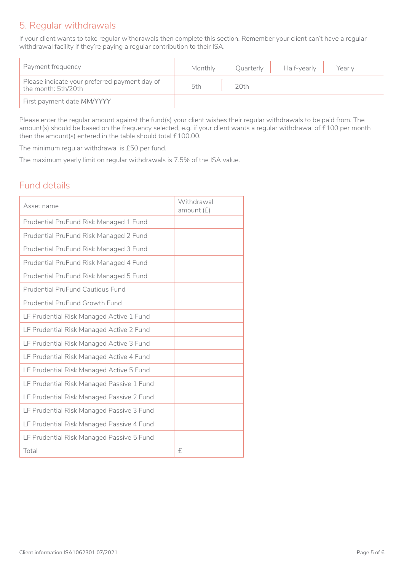## 5. Regular withdrawals

If your client wants to take regular withdrawals then complete this section. Remember your client can't have a regular withdrawal facility if they're paying a regular contribution to their ISA.

| Payment frequency                                                    | Monthly |      | Quarterly Half-yearly | Yearly |
|----------------------------------------------------------------------|---------|------|-----------------------|--------|
| Please indicate your preferred payment day of<br>the month: 5th/20th | 5th     | 20th |                       |        |
| First payment date MM/YYYY                                           |         |      |                       |        |

Please enter the regular amount against the fund(s) your client wishes their regular withdrawals to be paid from. The amount(s) should be based on the frequency selected, e.g. if your client wants a regular withdrawal of £100 per month then the amount(s) entered in the table should total £100.00.

The minimum regular withdrawal is £50 per fund.

The maximum yearly limit on regular withdrawals is 7.5% of the ISA value.

## Fund details

| Asset name                                | Withdrawal<br>amount $(E)$ |
|-------------------------------------------|----------------------------|
| Prudential PruFund Risk Managed 1 Fund    |                            |
| Prudential PruFund Risk Managed 2 Fund    |                            |
| Prudential PruFund Risk Managed 3 Fund    |                            |
| Prudential PruFund Risk Managed 4 Fund    |                            |
| Prudential PruFund Risk Managed 5 Fund    |                            |
| <b>Prudential PruFund Cautious Fund</b>   |                            |
| Prudential PruFund Growth Fund            |                            |
| LF Prudential Risk Managed Active 1 Fund  |                            |
| LF Prudential Risk Managed Active 2 Fund  |                            |
| LF Prudential Risk Managed Active 3 Fund  |                            |
| LF Prudential Risk Managed Active 4 Fund  |                            |
| LF Prudential Risk Managed Active 5 Fund  |                            |
| LF Prudential Risk Managed Passive 1 Fund |                            |
| LF Prudential Risk Managed Passive 2 Fund |                            |
| LF Prudential Risk Managed Passive 3 Fund |                            |
| LF Prudential Risk Managed Passive 4 Fund |                            |
| LF Prudential Risk Managed Passive 5 Fund |                            |
| Total                                     | £                          |